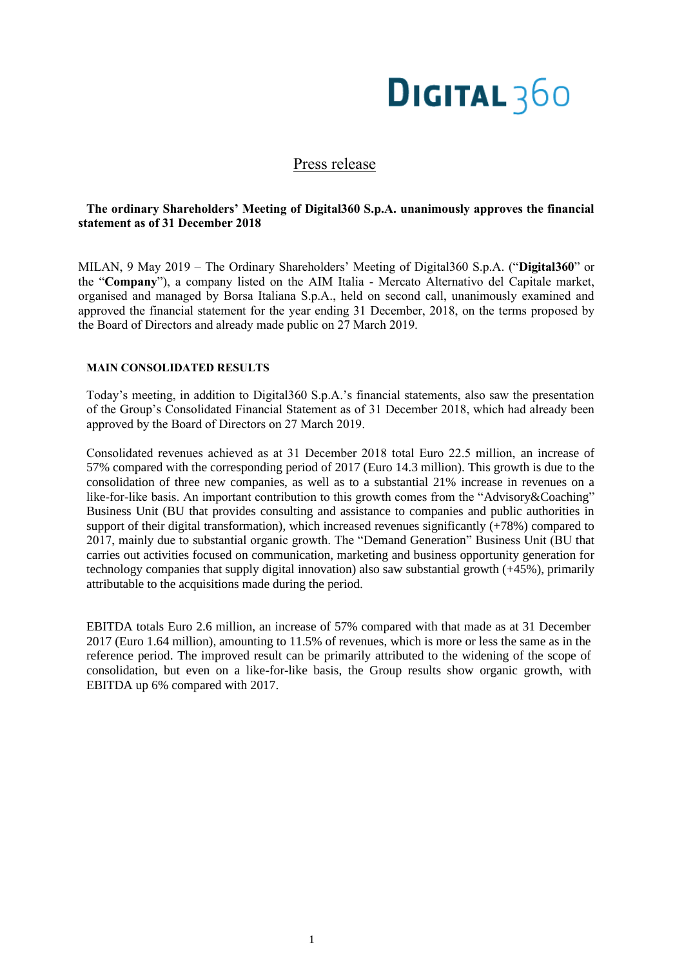# **DIGITAL 360**

# Press release

# **The ordinary Shareholders' Meeting of Digital360 S.p.A. unanimously approves the financial statement as of 31 December 2018**

MILAN, 9 May 2019 – The Ordinary Shareholders' Meeting of Digital360 S.p.A. ("**Digital360**" or the "**Company**"), a company listed on the AIM Italia - Mercato Alternativo del Capitale market, organised and managed by Borsa Italiana S.p.A., held on second call, unanimously examined and approved the financial statement for the year ending 31 December, 2018, on the terms proposed by the Board of Directors and already made public on 27 March 2019.

# **MAIN CONSOLIDATED RESULTS**

Today's meeting, in addition to Digital360 S.p.A.'s financial statements, also saw the presentation of the Group's Consolidated Financial Statement as of 31 December 2018, which had already been approved by the Board of Directors on 27 March 2019.

Consolidated revenues achieved as at 31 December 2018 total Euro 22.5 million, an increase of 57% compared with the corresponding period of 2017 (Euro 14.3 million). This growth is due to the consolidation of three new companies, as well as to a substantial 21% increase in revenues on a like-for-like basis. An important contribution to this growth comes from the "Advisory&Coaching" Business Unit (BU that provides consulting and assistance to companies and public authorities in support of their digital transformation), which increased revenues significantly  $(+78%)$  compared to 2017, mainly due to substantial organic growth. The "Demand Generation" Business Unit (BU that carries out activities focused on communication, marketing and business opportunity generation for technology companies that supply digital innovation) also saw substantial growth (+45%), primarily attributable to the acquisitions made during the period.

EBITDA totals Euro 2.6 million, an increase of 57% compared with that made as at 31 December 2017 (Euro 1.64 million), amounting to 11.5% of revenues, which is more or less the same as in the reference period. The improved result can be primarily attributed to the widening of the scope of consolidation, but even on a like-for-like basis, the Group results show organic growth, with EBITDA up 6% compared with 2017.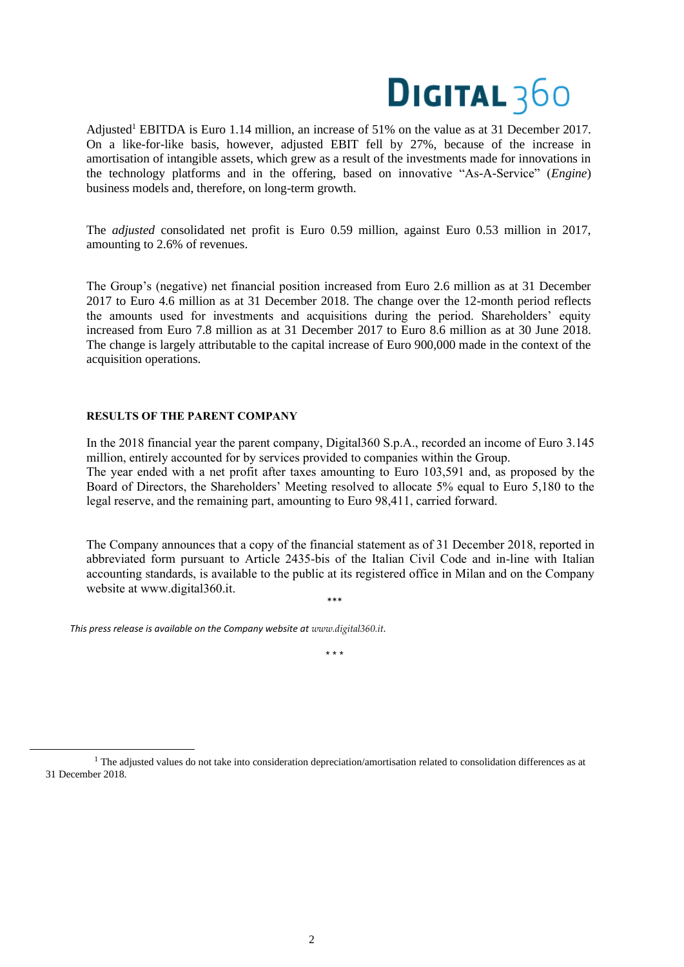

Adjusted<sup>1</sup> EBITDA is Euro 1.14 million, an increase of 51% on the value as at 31 December 2017. On a like-for-like basis, however, adjusted EBIT fell by 27%, because of the increase in amortisation of intangible assets, which grew as a result of the investments made for innovations in the technology platforms and in the offering, based on innovative "As-A-Service" (*Engine*) business models and, therefore, on long-term growth.

The *adjusted* consolidated net profit is Euro 0.59 million, against Euro 0.53 million in 2017, amounting to 2.6% of revenues.

The Group's (negative) net financial position increased from Euro 2.6 million as at 31 December 2017 to Euro 4.6 million as at 31 December 2018. The change over the 12-month period reflects the amounts used for investments and acquisitions during the period. Shareholders' equity increased from Euro 7.8 million as at 31 December 2017 to Euro 8.6 million as at 30 June 2018. The change is largely attributable to the capital increase of Euro 900,000 made in the context of the acquisition operations.

## **RESULTS OF THE PARENT COMPANY**

In the 2018 financial year the parent company, Digital360 S.p.A., recorded an income of Euro 3.145 million, entirely accounted for by services provided to companies within the Group. The year ended with a net profit after taxes amounting to Euro 103,591 and, as proposed by the Board of Directors, the Shareholders' Meeting resolved to allocate 5% equal to Euro 5,180 to the legal reserve, and the remaining part, amounting to Euro 98,411, carried forward.

The Company announces that a copy of the financial statement as of 31 December 2018, reported in abbreviated form pursuant to Article 2435-bis of the Italian Civil Code and in-line with Italian accounting standards, is available to the public at its registered office in Milan and on the Company website at www.digital360.it.

*This press release is available on the Company website at www.digital360.it.*

\* \* \*

\*\*\*

 $<sup>1</sup>$  The adjusted values do not take into consideration depreciation/amortisation related to consolidation differences as at</sup> 31 December 2018.